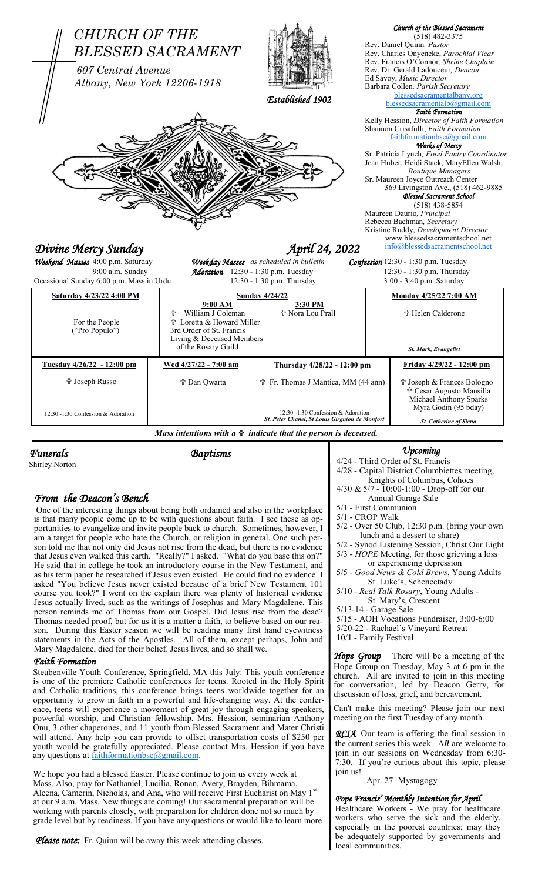

Shirley Norton

*Funerals Baptisms*

# *From the Deacon's Bench*

One of the interesting things about being both ordained and also in the workplace is that many people come up to be with questions about faith. I see these as opportunities to evangelize and invite people back to church. Sometimes, however, I am a target for people who hate the Church, or religion in general. One such person told me that not only did Jesus not rise from the dead, but there is no evidence that Jesus even walked this earth. "Really?" I asked. "What do you base this on?" He said that in college he took an introductory course in the New Testament, and as his term paper he researched if Jesus even existed. He could find no evidence. I asked "You believe Jesus never existed because of a brief New Testament 101 course you took?" I went on the explain there was plenty of historical evidence Jesus actually lived, such as the writings of Josephus and Mary Magdalene. This person reminds me of Thomas from our Gospel. Did Jesus rise from the dead? Thomas needed proof, but for us it is a matter a faith, to believe based on our reason. During this Easter season we will be reading many first hand eyewitness statements in the Acts of the Apostles. All of them, except perhaps, John and Mary Magdalene, died for their belief. Jesus lives, and so shall we.

### *Faith Formation*

Steubenville Youth Conference, Springfield, MA this July: This youth conference is one of the premiere Catholic conferences for teens. Rooted in the Holy Spirit and Catholic traditions, this conference brings teens worldwide together for an opportunity to grow in faith in a powerful and life-changing way. At the conference, teens will experience a movement of great joy through engaging speakers, powerful worship, and Christian fellowship. Mrs. Hession, seminarian Anthony Onu, 3 other chaperones, and 11 youth from Blessed Sacrament and Mater Christi will attend. Any help you can provide to offset transportation costs of \$250 per youth would be gratefully appreciated. Please contact Mrs. Hession if you have any questions at [faithformationbsc@gmail.com.](mailto:faithformationbsc@gmail.com)

We hope you had a blessed Easter. Please continue to join us every week at Mass. Also, pray for Nathaniel, Lucilia, Ronan, Avery, Brayden, Bihmama, Aleena, Camerin, Nicholas, and Ana, who will receive First Eucharist on May 1st at our 9 a.m. Mass. New things are coming! Our sacramental preparation will be working with parents closely, with preparation for children done not so much by grade level but by readiness. If you have any questions or would like to learn more

*Please note:* Fr. Quinn will be away this week attending classes.

## *Upcoming*

- 4/24 Third Order of St. Francis 4/28 - Capital District Columbiettes meeting, Knights of Columbus, Cohoes 4/30 & 5/7 - 10:00-1:00 - Drop-off for our Annual Garage Sale 5/1 - First Communion 5/1 - CROP Walk 5/2 - Over 50 Club, 12:30 p.m. (bring your own lunch and a dessert to share) 5/2 - Synod Listening Session, Christ Our Light 5/3 - *HOPE* Meeting, for those grieving a loss or experiencing depression 5/5 - *Good News & Cold Brews*, Young Adults St. Luke's, Schenectady 5/10 - *Real Talk Rosary*, Young Adults - St. Mary's, Crescent 5/13-14 - Garage Sale
- 5/15 AOH Vocations Fundraiser, 3:00-6:00
- 5/20-22 Rachael's Vineyard Retreat
- 10/1 Family Festival

**Hope Group** There will be a meeting of the Hope Group on Tuesday, May 3 at 6 pm in the church. All are invited to join in this meeting for conversation, led by Deacon Gerry, for discussion of loss, grief, and bereavement.

Can't make this meeting? Please join our next meeting on the first Tuesday of any month.

**RCIA** Our team is offering the final session in the current series this week. A*ll* are welcome to join in our sessions on Wednesday from 6:30- 7:30. If you're curious about this topic, please join us!

Apr. 27 Mystagogy

### *Pope Francis' Monthly Intention for April*

Healthcare Workers - We pray for healthcare workers who serve the sick and the elderly, especially in the poorest countries; may they be adequately supported by governments and local communities.